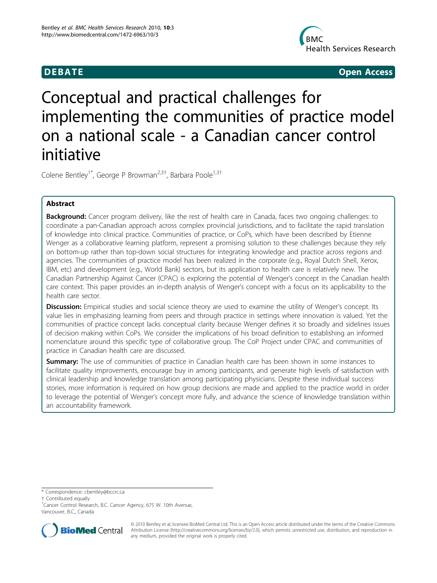

**DEBATE CONSIDERED ACCESS OPEN ACCESS** 

# Conceptual and practical challenges for implementing the communities of practice model on a national scale - a Canadian cancer control initiative

Colene Bentley<sup>1\*</sup>, George P Browman<sup>2,3†</sup>, Barbara Poole<sup>1,3†</sup>

# Abstract

Background: Cancer program delivery, like the rest of health care in Canada, faces two ongoing challenges: to coordinate a pan-Canadian approach across complex provincial jurisdictions, and to facilitate the rapid translation of knowledge into clinical practice. Communities of practice, or CoPs, which have been described by Etienne Wenger as a collaborative learning platform, represent a promising solution to these challenges because they rely on bottom-up rather than top-down social structures for integrating knowledge and practice across regions and agencies. The communities of practice model has been realized in the corporate (e.g., Royal Dutch Shell, Xerox, IBM, etc) and development (e.g., World Bank) sectors, but its application to health care is relatively new. The Canadian Partnership Against Cancer (CPAC) is exploring the potential of Wenger's concept in the Canadian health care context. This paper provides an in-depth analysis of Wenger's concept with a focus on its applicability to the health care sector.

Discussion: Empirical studies and social science theory are used to examine the utility of Wenger's concept. Its value lies in emphasizing learning from peers and through practice in settings where innovation is valued. Yet the communities of practice concept lacks conceptual clarity because Wenger defines it so broadly and sidelines issues of decision making within CoPs. We consider the implications of his broad definition to establishing an informed nomenclature around this specific type of collaborative group. The CoP Project under CPAC and communities of practice in Canadian health care are discussed.

**Summary:** The use of communities of practice in Canadian health care has been shown in some instances to facilitate quality improvements, encourage buy in among participants, and generate high levels of satisfaction with clinical leadership and knowledge translation among participating physicians. Despite these individual success stories, more information is required on how group decisions are made and applied to the practice world in order to leverage the potential of Wenger's concept more fully, and advance the science of knowledge translation within an accountability framework.

\* Correspondence: cbentley@bccrc.ca

† Contributed equally <sup>1</sup>

<sup>1</sup> Cancer Control Research, B.C. Cancer Agency, 675 W. 10th Avenue, Vancouver, B.C., Canada



© 2010 Bentley et al; licensee BioMed Central Ltd. This is an Open Access article distributed under the terms of the Creative Commons Attribution License (http://creativecommons.org/licenses/by/2.0), which permits unrestricted use, distribution, and reproduction in any medium, provided the original work is properly cited.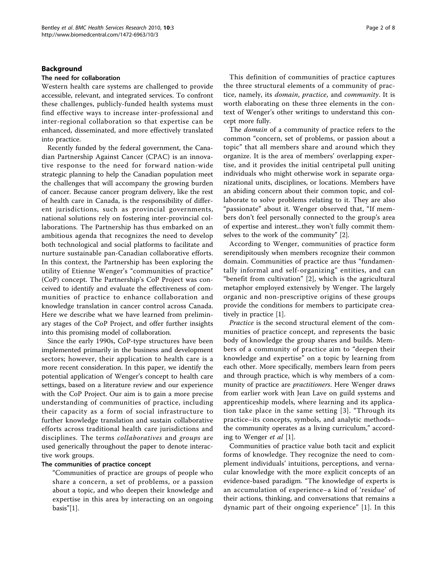# Background

#### The need for collaboration

Western health care systems are challenged to provide accessible, relevant, and integrated services. To confront these challenges, publicly-funded health systems must find effective ways to increase inter-professional and inter-regional collaboration so that expertise can be enhanced, disseminated, and more effectively translated into practice.

Recently funded by the federal government, the Canadian Partnership Against Cancer (CPAC) is an innovative response to the need for forward nation-wide strategic planning to help the Canadian population meet the challenges that will accompany the growing burden of cancer. Because cancer program delivery, like the rest of health care in Canada, is the responsibility of different jurisdictions, such as provincial governments, national solutions rely on fostering inter-provincial collaborations. The Partnership has thus embarked on an ambitious agenda that recognizes the need to develop both technological and social platforms to facilitate and nurture sustainable pan-Canadian collaborative efforts. In this context, the Partnership has been exploring the utility of Etienne Wenger's "communities of practice" (CoP) concept. The Partnership's CoP Project was conceived to identify and evaluate the effectiveness of communities of practice to enhance collaboration and knowledge translation in cancer control across Canada. Here we describe what we have learned from preliminary stages of the CoP Project, and offer further insights into this promising model of collaboration.

Since the early 1990s, CoP-type structures have been implemented primarily in the business and development sectors; however, their application to health care is a more recent consideration. In this paper, we identify the potential application of Wenger's concept to health care settings, based on a literature review and our experience with the CoP Project. Our aim is to gain a more precise understanding of communities of practice, including their capacity as a form of social infrastructure to further knowledge translation and sustain collaborative efforts across traditional health care jurisdictions and disciplines. The terms collaboratives and groups are used generically throughout the paper to denote interactive work groups.

#### The communities of practice concept

"Communities of practice are groups of people who share a concern, a set of problems, or a passion about a topic, and who deepen their knowledge and expertise in this area by interacting on an ongoing basis"[[1\]](#page-6-0).

This definition of communities of practice captures the three structural elements of a community of practice, namely, its domain, practice, and community. It is worth elaborating on these three elements in the context of Wenger's other writings to understand this concept more fully.

The *domain* of a community of practice refers to the common "concern, set of problems, or passion about a topic" that all members share and around which they organize. It is the area of members' overlapping expertise, and it provides the initial centripetal pull uniting individuals who might otherwise work in separate organizational units, disciplines, or locations. Members have an abiding concern about their common topic, and collaborate to solve problems relating to it. They are also "passionate" about it. Wenger observed that, "If members don't feel personally connected to the group's area of expertise and interest...they won't fully commit themselves to the work of the community" [\[2](#page-6-0)].

According to Wenger, communities of practice form serendipitously when members recognize their common domain. Communities of practice are thus "fundamentally informal and self-organizing" entities, and can "benefit from cultivation" [\[2](#page-6-0)], which is the agricultural metaphor employed extensively by Wenger. The largely organic and non-prescriptive origins of these groups provide the conditions for members to participate creatively in practice [\[1\]](#page-6-0).

Practice is the second structural element of the communities of practice concept, and represents the basic body of knowledge the group shares and builds. Members of a community of practice aim to "deepen their knowledge and expertise" on a topic by learning from each other. More specifically, members learn from peers and through practice, which is why members of a community of practice are *practitioners*. Here Wenger draws from earlier work with Jean Lave on guild systems and apprenticeship models, where learning and its application take place in the same setting [[3\]](#page-6-0). "Through its practice–its concepts, symbols, and analytic methods– the community operates as a living curriculum," according to Wenger *et al* [\[1](#page-6-0)].

Communities of practice value both tacit and explicit forms of knowledge. They recognize the need to complement individuals' intuitions, perceptions, and vernacular knowledge with the more explicit concepts of an evidence-based paradigm. "The knowledge of experts is an accumulation of experience–a kind of 'residue' of their actions, thinking, and conversations that remains a dynamic part of their ongoing experience" [[1](#page-6-0)]. In this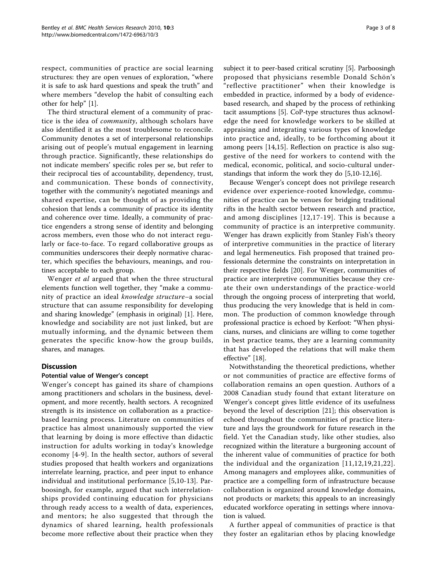respect, communities of practice are social learning structures: they are open venues of exploration, "where it is safe to ask hard questions and speak the truth" and where members "develop the habit of consulting each other for help" [[1\]](#page-6-0).

The third structural element of a community of practice is the idea of community, although scholars have also identified it as the most troublesome to reconcile. Community denotes a set of interpersonal relationships arising out of people's mutual engagement in learning through practice. Significantly, these relationships do not indicate members' specific roles per se, but refer to their reciprocal ties of accountability, dependency, trust, and communication. These bonds of connectivity, together with the community's negotiated meanings and shared expertise, can be thought of as providing the cohesion that lends a community of practice its identity and coherence over time. Ideally, a community of practice engenders a strong sense of identity and belonging across members, even those who do not interact regularly or face-to-face. To regard collaborative groups as communities underscores their deeply normative character, which specifies the behaviours, meanings, and routines acceptable to each group.

Wenger *et al* argued that when the three structural elements function well together, they "make a community of practice an ideal knowledge structure–a social structure that can assume responsibility for developing and sharing knowledge" (emphasis in original) [[1\]](#page-6-0). Here, knowledge and sociability are not just linked, but are mutually informing, and the dynamic between them generates the specific know-how the group builds, shares, and manages.

# **Discussion**

#### Potential value of Wenger's concept

Wenger's concept has gained its share of champions among practitioners and scholars in the business, development, and more recently, health sectors. A recognized strength is its insistence on collaboration as a practicebased learning process. Literature on communities of practice has almost unanimously supported the view that learning by doing is more effective than didactic instruction for adults working in today's knowledge economy [[4-](#page-6-0)[9](#page-7-0)]. In the health sector, authors of several studies proposed that health workers and organizations interrelate learning, practice, and peer input to enhance individual and institutional performance [\[5](#page-6-0),[10-13](#page-7-0)]. Parboosingh, for example, argued that such interrelationships provided continuing education for physicians through ready access to a wealth of data, experiences, and mentors; he also suggested that through the dynamics of shared learning, health professionals become more reflective about their practice when they subject it to peer-based critical scrutiny [[5](#page-6-0)]. Parboosingh proposed that physicians resemble Donald Schön's "reflective practitioner" when their knowledge is embedded in practice, informed by a body of evidencebased research, and shaped by the process of rethinking tacit assumptions [\[5](#page-6-0)]. CoP-type structures thus acknowledge the need for knowledge workers to be skilled at appraising and integrating various types of knowledge into practice and, ideally, to be forthcoming about it among peers [[14,15](#page-7-0)]. Reflection on practice is also suggestive of the need for workers to contend with the medical, economic, political, and socio-cultural understandings that inform the work they do [\[5](#page-6-0)[,10](#page-7-0)-[12,16](#page-7-0)].

Because Wenger's concept does not privilege research evidence over experience-rooted knowledge, communities of practice can be venues for bridging traditional rifts in the health sector between research and practice, and among disciplines [[12](#page-7-0),[17-19](#page-7-0)]. This is because a community of practice is an interpretive community. Wenger has drawn explicitly from Stanley Fish's theory of interpretive communities in the practice of literary and legal hermeneutics. Fish proposed that trained professionals determine the constraints on interpretation in their respective fields [[20\]](#page-7-0). For Wenger, communities of practice are interpretive communities because they create their own understandings of the practice-world through the ongoing process of interpreting that world, thus producing the very knowledge that is held in common. The production of common knowledge through professional practice is echoed by Kerfoot: "When physicians, nurses, and clinicians are willing to come together in best practice teams, they are a learning community that has developed the relations that will make them effective" [\[18\]](#page-7-0).

Notwithstanding the theoretical predictions, whether or not communities of practice are effective forms of collaboration remains an open question. Authors of a 2008 Canadian study found that extant literature on Wenger's concept gives little evidence of its usefulness beyond the level of description [[21\]](#page-7-0); this observation is echoed throughout the communities of practice literature and lays the groundwork for future research in the field. Yet the Canadian study, like other studies, also recognized within the literature a burgeoning account of the inherent value of communities of practice for both the individual and the organization [[11,12,19,21,22\]](#page-7-0). Among managers and employees alike, communities of practice are a compelling form of infrastructure because collaboration is organized around knowledge domains, not products or markets; this appeals to an increasingly educated workforce operating in settings where innovation is valued.

A further appeal of communities of practice is that they foster an egalitarian ethos by placing knowledge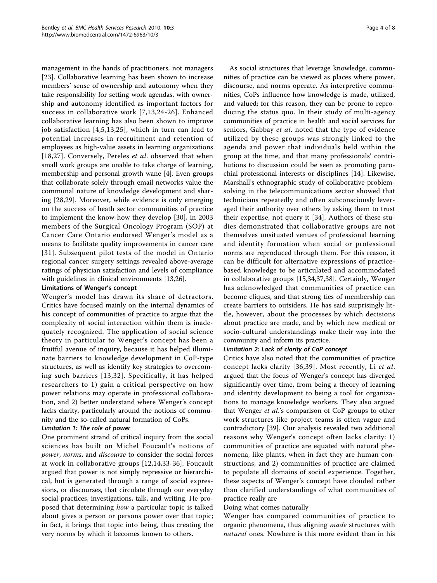management in the hands of practitioners, not managers [[23\]](#page-7-0). Collaborative learning has been shown to increase members' sense of ownership and autonomy when they take responsibility for setting work agendas, with ownership and autonomy identified as important factors for success in collaborative work [[7](#page-7-0),[13](#page-7-0),[24](#page-7-0)-[26\]](#page-7-0). Enhanced collaborative learning has also been shown to improve job satisfaction [[4](#page-6-0),[5,](#page-6-0)[13,25\]](#page-7-0), which in turn can lead to potential increases in recruitment and retention of employees as high-value assets in learning organizations [[18](#page-7-0),[27](#page-7-0)]. Conversely, Pereles et al. observed that when small work groups are unable to take charge of learning, membership and personal growth wane [\[4](#page-6-0)]. Even groups that collaborate solely through email networks value the communal nature of knowledge development and sharing [\[28,29\]](#page-7-0). Moreover, while evidence is only emerging on the success of heath sector communities of practice to implement the know-how they develop [\[30](#page-7-0)], in 2003 members of the Surgical Oncology Program (SOP) at Cancer Care Ontario endorsed Wenger's model as a means to facilitate quality improvements in cancer care [[31\]](#page-7-0). Subsequent pilot tests of the model in Ontario regional cancer surgery settings revealed above-average ratings of physician satisfaction and levels of compliance with guidelines in clinical environments [[13,26\]](#page-7-0).

# Limitations of Wenger's concept

Wenger's model has drawn its share of detractors. Critics have focused mainly on the internal dynamics of his concept of communities of practice to argue that the complexity of social interaction within them is inadequately recognized. The application of social science theory in particular to Wenger's concept has been a fruitful avenue of inquiry, because it has helped illuminate barriers to knowledge development in CoP-type structures, as well as identify key strategies to overcoming such barriers [[13,32](#page-7-0)]. Specifically, it has helped researchers to 1) gain a critical perspective on how power relations may operate in professional collaboration, and 2) better understand where Wenger's concept lacks clarity, particularly around the notions of community and the so-called natural formation of CoPs.

# Limitation 1: The role of power

One prominent strand of critical inquiry from the social sciences has built on Michel Foucault's notions of power, norms, and discourse to consider the social forces at work in collaborative groups [[12,14,33-36](#page-7-0)]. Foucault argued that power is not simply repressive or hierarchical, but is generated through a range of social expressions, or discourses, that circulate through our everyday social practices, investigations, talk, and writing. He proposed that determining how a particular topic is talked about gives a person or persons power over that topic; in fact, it brings that topic into being, thus creating the very norms by which it becomes known to others.

As social structures that leverage knowledge, communities of practice can be viewed as places where power, discourse, and norms operate. As interpretive communities, CoPs influence how knowledge is made, utilized, and valued; for this reason, they can be prone to reproducing the status quo. In their study of multi-agency communities of practice in health and social services for seniors, Gabbay et al. noted that the type of evidence utilized by these groups was strongly linked to the agenda and power that individuals held within the group at the time, and that many professionals' contributions to discussion could be seen as promoting parochial professional interests or disciplines [[14\]](#page-7-0). Likewise, Marshall's ethnographic study of collaborative problemsolving in the telecommunications sector showed that technicians repeatedly and often subconsciously leveraged their authority over others by asking them to trust their expertise, not query it [[34\]](#page-7-0). Authors of these studies demonstrated that collaborative groups are not themselves unsituated venues of professional learning and identity formation when social or professional norms are reproduced through them. For this reason, it can be difficult for alternative expressions of practicebased knowledge to be articulated and accommodated in collaborative groups [\[15,34,37](#page-7-0),[38\]](#page-7-0). Certainly, Wenger has acknowledged that communities of practice can become cliques, and that strong ties of membership can create barriers to outsiders. He has said surprisingly little, however, about the processes by which decisions about practice are made, and by which new medical or socio-cultural understandings make their way into the community and inform its practice.

#### Limitation 2: Lack of clarity of CoP concept

Critics have also noted that the communities of practice concept lacks clarity [[36,39\]](#page-7-0). Most recently, Li et al. argued that the focus of Wenger's concept has diverged significantly over time, from being a theory of learning and identity development to being a tool for organizations to manage knowledge workers. They also argued that Wenger et al.'s comparison of CoP groups to other work structures like project teams is often vague and contradictory [[39\]](#page-7-0). Our analysis revealed two additional reasons why Wenger's concept often lacks clarity: 1) communities of practice are equated with natural phenomena, like plants, when in fact they are human constructions; and 2) communities of practice are claimed to populate all domains of social experience. Together, these aspects of Wenger's concept have clouded rather than clarified understandings of what communities of practice really are

# Doing what comes naturally

Wenger has compared communities of practice to organic phenomena, thus aligning *made* structures with natural ones. Nowhere is this more evident than in his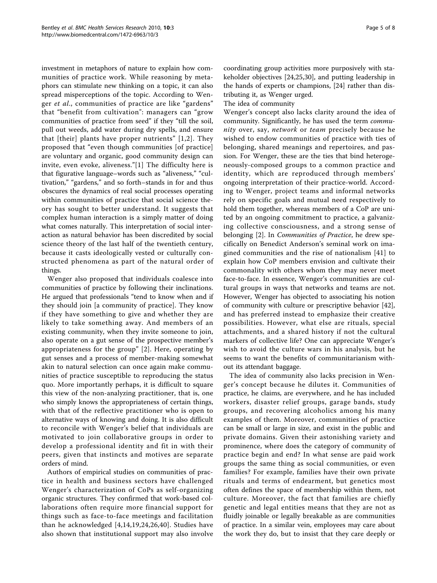investment in metaphors of nature to explain how communities of practice work. While reasoning by metaphors can stimulate new thinking on a topic, it can also spread misperceptions of the topic. According to Wenger et al., communities of practice are like "gardens" that "benefit from cultivation": managers can "grow communities of practice from seed" if they "till the soil, pull out weeds, add water during dry spells, and ensure that [their] plants have proper nutrients" [\[1,2](#page-6-0)]. They proposed that "even though communities [of practice] are voluntary and organic, good community design can invite, even evoke, aliveness."[[1\]](#page-6-0) The difficulty here is that figurative language–words such as "aliveness," "cultivation," "gardens," and so forth–stands in for and thus obscures the dynamics of real social processes operating within communities of practice that social science theory has sought to better understand. It suggests that complex human interaction is a simply matter of doing what comes naturally. This interpretation of social interaction as natural behavior has been discredited by social science theory of the last half of the twentieth century, because it casts ideologically vested or culturally constructed phenomena as part of the natural order of things.

Wenger also proposed that individuals coalesce into communities of practice by following their inclinations. He argued that professionals "tend to know when and if they should join [a community of practice]. They know if they have something to give and whether they are likely to take something away. And members of an existing community, when they invite someone to join, also operate on a gut sense of the prospective member's appropriateness for the group" [[2](#page-6-0)]. Here, operating by gut senses and a process of member-making somewhat akin to natural selection can once again make communities of practice susceptible to reproducing the status quo. More importantly perhaps, it is difficult to square this view of the non-analyzing practitioner, that is, one who simply knows the appropriateness of certain things, with that of the reflective practitioner who is open to alternative ways of knowing and doing. It is also difficult to reconcile with Wenger's belief that individuals are motivated to join collaborative groups in order to develop a professional identity and fit in with their peers, given that instincts and motives are separate orders of mind.

Authors of empirical studies on communities of practice in health and business sectors have challenged Wenger's characterization of CoPs as self-organizing organic structures. They confirmed that work-based collaborations often require more financial support for things such as face-to-face meetings and facilitation than he acknowledged [[4,](#page-6-0)[14](#page-7-0),[19,24,26](#page-7-0),[40\]](#page-7-0). Studies have also shown that institutional support may also involve

coordinating group activities more purposively with stakeholder objectives [[24,25,30\]](#page-7-0), and putting leadership in the hands of experts or champions, [[24](#page-7-0)] rather than distributing it, as Wenger urged.

The idea of community

Wenger's concept also lacks clarity around the idea of community. Significantly, he has used the term community over, say, network or team precisely because he wished to endow communities of practice with ties of belonging, shared meanings and repertoires, and passion. For Wenger, these are the ties that bind heterogeneously-composed groups to a common practice and identity, which are reproduced through members' ongoing interpretation of their practice-world. According to Wenger, project teams and informal networks rely on specific goals and mutual need respectively to hold them together, whereas members of a CoP are united by an ongoing commitment to practice, a galvanizing collective consciousness, and a strong sense of belonging [[2\]](#page-6-0). In Communities of Practice, he drew specifically on Benedict Anderson's seminal work on imagined communities and the rise of nationalism [[41](#page-7-0)] to explain how CoP members envision and cultivate their commonality with others whom they may never meet face-to-face. In essence, Wenger's communities are cultural groups in ways that networks and teams are not. However, Wenger has objected to associating his notion of community with culture or prescriptive behavior [[42](#page-7-0)], and has preferred instead to emphasize their creative possibilities. However, what else are rituals, special attachments, and a shared history if not the cultural markers of collective life? One can appreciate Wenger's wish to avoid the culture wars in his analysis, but he seems to want the benefits of communitarianism without its attendant baggage.

The idea of community also lacks precision in Wenger's concept because he dilutes it. Communities of practice, he claims, are everywhere, and he has included workers, disaster relief groups, garage bands, study groups, and recovering alcoholics among his many examples of them. Moreover, communities of practice can be small or large in size, and exist in the public and private domains. Given their astonishing variety and prominence, where does the category of community of practice begin and end? In what sense are paid work groups the same thing as social communities, or even families? For example, families have their own private rituals and terms of endearment, but genetics most often defines the space of membership within them, not culture. Moreover, the fact that families are chiefly genetic and legal entities means that they are not as fluidly joinable or legally breakable as are communities of practice. In a similar vein, employees may care about the work they do, but to insist that they care deeply or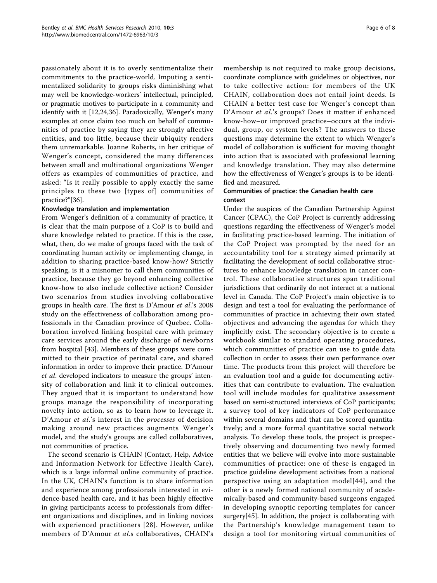passionately about it is to overly sentimentalize their commitments to the practice-world. Imputing a sentimentalized solidarity to groups risks diminishing what may well be knowledge-workers' intellectual, principled, or pragmatic motives to participate in a community and identify with it [\[12,24,36](#page-7-0)]. Paradoxically, Wenger's many examples at once claim too much on behalf of communities of practice by saying they are strongly affective entities, and too little, because their ubiquity renders them unremarkable. Joanne Roberts, in her critique of Wenger's concept, considered the many differences between small and multinational organizations Wenger offers as examples of communities of practice, and asked: "Is it really possible to apply exactly the same principles to these two [types of] communities of practice?"[\[36\]](#page-7-0).

# Knowledge translation and implementation

From Wenger's definition of a community of practice, it is clear that the main purpose of a CoP is to build and share knowledge related to practice. If this is the case, what, then, do we make of groups faced with the task of coordinating human activity or implementing change, in addition to sharing practice-based know-how? Strictly speaking, is it a misnomer to call them communities of practice, because they go beyond enhancing collective know-how to also include collective action? Consider two scenarios from studies involving collaborative groups in health care. The first is D'Amour et al.'s 2008 study on the effectiveness of collaboration among professionals in the Canadian province of Quebec. Collaboration involved linking hospital care with primary care services around the early discharge of newborns from hospital [[43\]](#page-7-0). Members of these groups were committed to their practice of perinatal care, and shared information in order to improve their practice. D'Amour et al. developed indicators to measure the groups' intensity of collaboration and link it to clinical outcomes. They argued that it is important to understand how groups manage the responsibility of incorporating novelty into action, so as to learn how to leverage it. D'Amour *et al.*'s interest in the *processes* of decision making around new practices augments Wenger's model, and the study's groups are called collaboratives, not communities of practice.

The second scenario is CHAIN (Contact, Help, Advice and Information Network for Effective Health Care), which is a large informal online community of practice. In the UK, CHAIN's function is to share information and experience among professionals interested in evidence-based health care, and it has been highly effective in giving participants access to professionals from different organizations and disciplines, and in linking novices with experienced practitioners [[28](#page-7-0)]. However, unlike members of D'Amour et al.s collaboratives, CHAIN's membership is not required to make group decisions, coordinate compliance with guidelines or objectives, nor to take collective action: for members of the UK CHAIN, collaboration does not entail joint deeds. Is CHAIN a better test case for Wenger's concept than D'Amour et al.'s groups? Does it matter if enhanced know-how–or improved practice–occurs at the individual, group, or system levels? The answers to these questions may determine the extent to which Wenger's model of collaboration is sufficient for moving thought into action that is associated with professional learning and knowledge translation. They may also determine how the effectiveness of Wenger's groups is to be identified and measured.

# Communities of practice: the Canadian health care context

Under the auspices of the Canadian Partnership Against Cancer (CPAC), the CoP Project is currently addressing questions regarding the effectiveness of Wenger's model in facilitating practice-based learning. The initiation of the CoP Project was prompted by the need for an accountability tool for a strategy aimed primarily at facilitating the development of social collaborative structures to enhance knowledge translation in cancer control. These collaborative structures span traditional jurisdictions that ordinarily do not interact at a national level in Canada. The CoP Project's main objective is to design and test a tool for evaluating the performance of communities of practice in achieving their own stated objectives and advancing the agendas for which they implicitly exist. The secondary objective is to create a workbook similar to standard operating procedures, which communities of practice can use to guide data collection in order to assess their own performance over time. The products from this project will therefore be an evaluation tool and a guide for documenting activities that can contribute to evaluation. The evaluation tool will include modules for qualitative assessment based on semi-structured interviews of CoP participants; a survey tool of key indicators of CoP performance within several domains and that can be scored quantitatively; and a more formal quantitative social network analysis. To develop these tools, the project is prospectively observing and documenting two newly formed entities that we believe will evolve into more sustainable communities of practice: one of these is engaged in practice guideline development activities from a national perspective using an adaptation model[[44\]](#page-7-0), and the other is a newly formed national community of academically-based and community-based surgeons engaged in developing synoptic reporting templates for cancer surgery[[45\]](#page-7-0). In addition, the project is collaborating with the Partnership's knowledge management team to design a tool for monitoring virtual communities of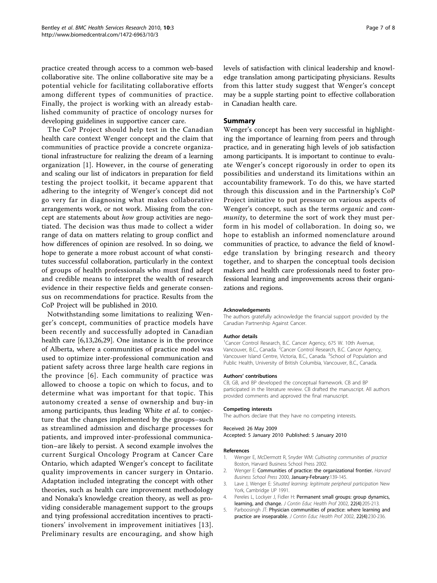<span id="page-6-0"></span>practice created through access to a common web-based collaborative site. The online collaborative site may be a potential vehicle for facilitating collaborative efforts among different types of communities of practice. Finally, the project is working with an already established community of practice of oncology nurses for developing guidelines in supportive cancer care.

The CoP Project should help test in the Canadian health care context Wenger concept and the claim that communities of practice provide a concrete organizational infrastructure for realizing the dream of a learning organization [1]. However, in the course of generating and scaling our list of indicators in preparation for field testing the project toolkit, it became apparent that adhering to the integrity of Wenger's concept did not go very far in diagnosing what makes collaborative arrangements work, or not work. Missing from the concept are statements about how group activities are negotiated. The decision was thus made to collect a wider range of data on matters relating to group conflict and how differences of opinion are resolved. In so doing, we hope to generate a more robust account of what constitutes successful collaboration, particularly in the context of groups of health professionals who must find adept and credible means to interpret the wealth of research evidence in their respective fields and generate consensus on recommendations for practice. Results from the CoP Project will be published in 2010.

Notwithstanding some limitations to realizing Wenger's concept, communities of practice models have been recently and successfully adopted in Canadian health care [\[6,13,26,29](#page-7-0)]. One instance is in the province of Alberta, where a communities of practice model was used to optimize inter-professional communication and patient safety across three large health care regions in the province [[6](#page-7-0)]. Each community of practice was allowed to choose a topic on which to focus, and to determine what was important for that topic. This autonomy created a sense of ownership and buy-in among participants, thus leading White et al. to conjecture that the changes implemented by the groups–such as streamlined admission and discharge processes for patients, and improved inter-professional communication–are likely to persist. A second example involves the current Surgical Oncology Program at Cancer Care Ontario, which adapted Wenger's concept to facilitate quality improvements in cancer surgery in Ontario. Adaptation included integrating the concept with other theories, such as health care improvement methodology and Nonaka's knowledge creation theory, as well as providing considerable management support to the groups and tying professional accreditation incentives to practitioners' involvement in improvement initiatives [\[13\]](#page-7-0). Preliminary results are encouraging, and show high levels of satisfaction with clinical leadership and knowledge translation among participating physicians. Results from this latter study suggest that Wenger's concept may be a supple starting point to effective collaboration in Canadian health care.

# Summary

Wenger's concept has been very successful in highlighting the importance of learning from peers and through practice, and in generating high levels of job satisfaction among participants. It is important to continue to evaluate Wenger's concept rigorously in order to open its possibilities and understand its limitations within an accountability framework. To do this, we have started through this discussion and in the Partnership's CoP Project initiative to put pressure on various aspects of Wenger's concept, such as the terms organic and community, to determine the sort of work they must perform in his model of collaboration. In doing so, we hope to establish an informed nomenclature around communities of practice, to advance the field of knowledge translation by bringing research and theory together, and to sharpen the conceptual tools decision makers and health care professionals need to foster professional learning and improvements across their organizations and regions.

#### Acknowledgements

The authors gratefully acknowledge the financial support provided by the Canadian Partnership Against Cancer.

#### Author details

<sup>1</sup> Cancer Control Research, B.C. Cancer Agency, 675 W. 10th Avenue Vancouver, B.C., Canada. <sup>2</sup> Cancer Control Research, B.C. Cancer Agency, Vancouver Island Centre, Victoria, B.C., Canada. <sup>3</sup>School of Population and Public Health, University of British Columbia, Vancouver, B.C., Canada.

#### Authors' contributions

CB, GB, and BP developed the conceptual framework. CB and BP participated in the literature review. CB drafted the manuscript. All authors provided comments and approved the final manuscript.

#### Competing interests

The authors declare that they have no competing interests.

#### Received: 26 May 2009

Accepted: 5 January 2010 Published: 5 January 2010

#### References

- 1. Wenger E, McDermott R, Snyder WM: Cultivating communities of practice Boston, Harvard Business School Press 2002.
- 2. Wenger E: Communities of practice: the organizational frontier. Harvard Business School Press 2000, January-February:139-145.
- 3. Lave J, Wenger E: Situated learning: legitimate peripheral participation New York, Cambridge UP 1991.
- 4. Pereles L, Lockyer J, Fidler H: Permanent small groups: group dynamics, learning, and change. J Contin Educ Health Prof 2002, 22(4):205-213.
- 5. Parboosingh JT: Physician communities of practice: where learning and practice are inseparable. J Contin Educ Health Prof 2002, 22(4):230-236.